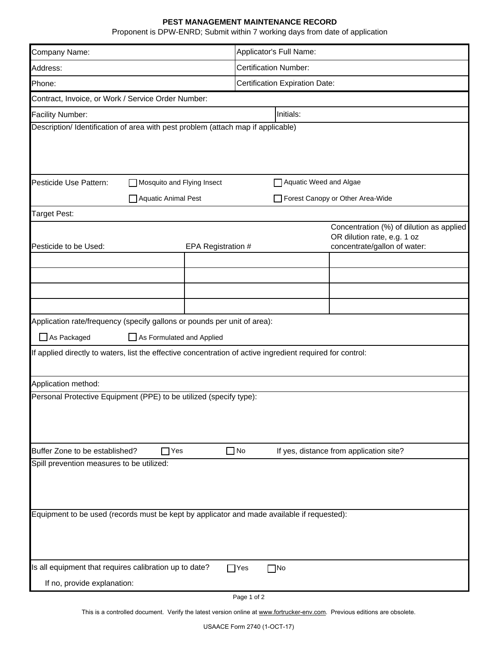## **PEST MANAGEMENT MAINTENANCE RECORD**

Proponent is DPW-ENRD; Submit within 7 working days from date of application

| Company Name:                                                                                                                                         | Applicator's Full Name:                  |  |  |  |  |
|-------------------------------------------------------------------------------------------------------------------------------------------------------|------------------------------------------|--|--|--|--|
| Address:                                                                                                                                              | <b>Certification Number:</b>             |  |  |  |  |
| Phone:                                                                                                                                                | <b>Certification Expiration Date:</b>    |  |  |  |  |
| Contract, Invoice, or Work / Service Order Number:                                                                                                    |                                          |  |  |  |  |
| <b>Facility Number:</b><br>Initials:                                                                                                                  |                                          |  |  |  |  |
| Description/ Identification of area with pest problem (attach map if applicable)                                                                      |                                          |  |  |  |  |
|                                                                                                                                                       |                                          |  |  |  |  |
|                                                                                                                                                       |                                          |  |  |  |  |
| Pesticide Use Pattern:<br>Mosquito and Flying Insect                                                                                                  | Aquatic Weed and Algae                   |  |  |  |  |
| Aquatic Animal Pest                                                                                                                                   |                                          |  |  |  |  |
|                                                                                                                                                       | Forest Canopy or Other Area-Wide         |  |  |  |  |
| Target Pest:                                                                                                                                          | Concentration (%) of dilution as applied |  |  |  |  |
|                                                                                                                                                       | OR dilution rate, e.g. 1 oz              |  |  |  |  |
| Pesticide to be Used:<br>EPA Registration #                                                                                                           | concentrate/gallon of water:             |  |  |  |  |
|                                                                                                                                                       |                                          |  |  |  |  |
|                                                                                                                                                       |                                          |  |  |  |  |
|                                                                                                                                                       |                                          |  |  |  |  |
| Application rate/frequency (specify gallons or pounds per unit of area):                                                                              |                                          |  |  |  |  |
| $\Box$ As Packaged<br>As Formulated and Applied                                                                                                       |                                          |  |  |  |  |
| If applied directly to waters, list the effective concentration of active ingredient required for control:                                            |                                          |  |  |  |  |
|                                                                                                                                                       |                                          |  |  |  |  |
| Application method:                                                                                                                                   |                                          |  |  |  |  |
| Personal Protective Equipment (PPE) to be utilized (specify type):                                                                                    |                                          |  |  |  |  |
|                                                                                                                                                       |                                          |  |  |  |  |
|                                                                                                                                                       |                                          |  |  |  |  |
|                                                                                                                                                       |                                          |  |  |  |  |
| $\Box$ No<br>Buffer Zone to be established?<br>If yes, distance from application site?<br>$\mathsf{Yes}$<br>Spill prevention measures to be utilized: |                                          |  |  |  |  |
|                                                                                                                                                       |                                          |  |  |  |  |
|                                                                                                                                                       |                                          |  |  |  |  |
|                                                                                                                                                       |                                          |  |  |  |  |
| Equipment to be used (records must be kept by applicator and made available if requested):                                                            |                                          |  |  |  |  |
|                                                                                                                                                       |                                          |  |  |  |  |
|                                                                                                                                                       |                                          |  |  |  |  |
| Is all equipment that requires calibration up to date?                                                                                                | $\Box$ No<br>$\sqcap$ Yes                |  |  |  |  |
| If no, provide explanation:                                                                                                                           |                                          |  |  |  |  |

Page 1 of 2

This is a controlled document. Verify the latest version online at www.fortrucker-env.com. Previous editions are obsolete.